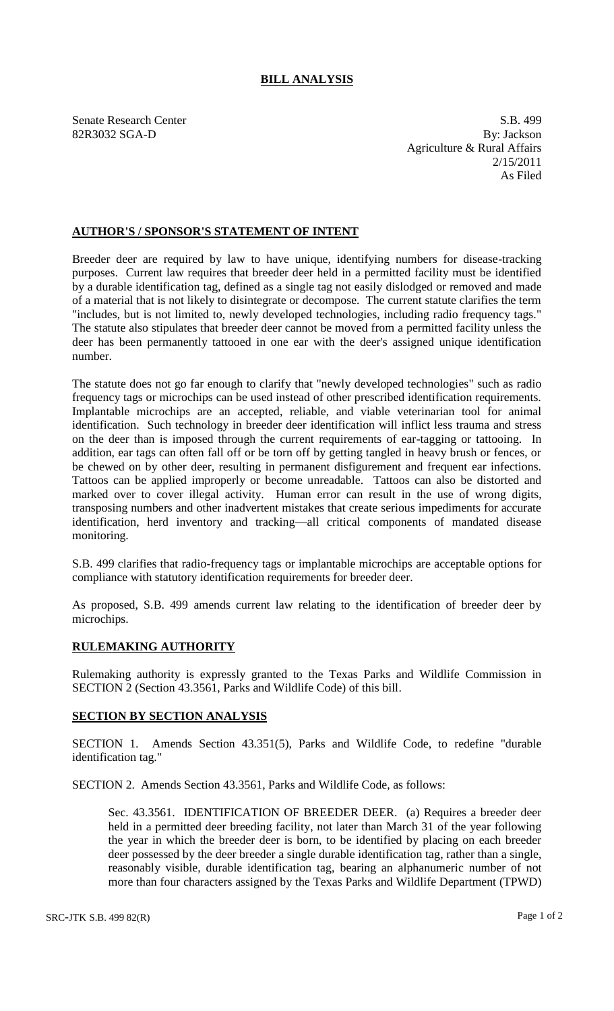## **BILL ANALYSIS**

Senate Research Center S.B. 499 82R3032 SGA-D By: Jackson Agriculture & Rural Affairs 2/15/2011 As Filed

## **AUTHOR'S / SPONSOR'S STATEMENT OF INTENT**

Breeder deer are required by law to have unique, identifying numbers for disease-tracking purposes. Current law requires that breeder deer held in a permitted facility must be identified by a durable identification tag, defined as a single tag not easily dislodged or removed and made of a material that is not likely to disintegrate or decompose. The current statute clarifies the term "includes, but is not limited to, newly developed technologies, including radio frequency tags." The statute also stipulates that breeder deer cannot be moved from a permitted facility unless the deer has been permanently tattooed in one ear with the deer's assigned unique identification number.

The statute does not go far enough to clarify that "newly developed technologies" such as radio frequency tags or microchips can be used instead of other prescribed identification requirements. Implantable microchips are an accepted, reliable, and viable veterinarian tool for animal identification. Such technology in breeder deer identification will inflict less trauma and stress on the deer than is imposed through the current requirements of ear-tagging or tattooing. In addition, ear tags can often fall off or be torn off by getting tangled in heavy brush or fences, or be chewed on by other deer, resulting in permanent disfigurement and frequent ear infections. Tattoos can be applied improperly or become unreadable. Tattoos can also be distorted and marked over to cover illegal activity. Human error can result in the use of wrong digits, transposing numbers and other inadvertent mistakes that create serious impediments for accurate identification, herd inventory and tracking—all critical components of mandated disease monitoring.

S.B. 499 clarifies that radio-frequency tags or implantable microchips are acceptable options for compliance with statutory identification requirements for breeder deer.

As proposed, S.B. 499 amends current law relating to the identification of breeder deer by microchips.

## **RULEMAKING AUTHORITY**

Rulemaking authority is expressly granted to the Texas Parks and Wildlife Commission in SECTION 2 (Section 43.3561, Parks and Wildlife Code) of this bill.

## **SECTION BY SECTION ANALYSIS**

SECTION 1. Amends Section 43.351(5), Parks and Wildlife Code, to redefine "durable identification tag."

SECTION 2. Amends Section 43.3561, Parks and Wildlife Code, as follows:

Sec. 43.3561. IDENTIFICATION OF BREEDER DEER. (a) Requires a breeder deer held in a permitted deer breeding facility, not later than March 31 of the year following the year in which the breeder deer is born, to be identified by placing on each breeder deer possessed by the deer breeder a single durable identification tag, rather than a single, reasonably visible, durable identification tag, bearing an alphanumeric number of not more than four characters assigned by the Texas Parks and Wildlife Department (TPWD)